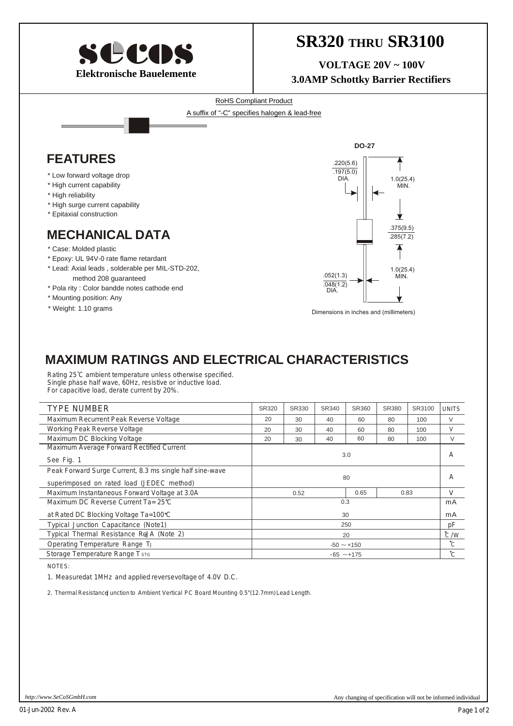

## **SR320 THRU SR3100**

**VOLTAGE 20V ~ 100V 3.0AMP Schottky Barrier Rectifiers**



## **MAXIMUM RATINGS AND ELECTRICAL CHARACTERISTICS**

Rating 25°C ambient temperature unless otherwise specified. Single phase half wave, 60Hz, resistive or inductive load. For capacitive load, derate current by 20%.

| <b>TYPE NUMBER</b>                                       | SR320           | SR330 | SR340 | SR360 | SR380 | SR3100 | <b>UNITS</b>  |
|----------------------------------------------------------|-----------------|-------|-------|-------|-------|--------|---------------|
| Maximum Recurrent Peak Reverse Voltage                   | 20              | 30    | 40    | 60    | 80    | 100    | V             |
| Working Peak Reverse Voltage                             | 20              | 30    | 40    | 60    | 80    | 100    | V             |
| Maximum DC Blocking Voltage                              | 20              | 30    | 40    | 60    | 80    | 100    | V             |
| Maximum Average Forward Rectified Current                |                 |       |       |       |       |        |               |
| See Fig. 1                                               | 3.0             |       |       |       |       |        | A             |
| Peak Forward Surge Current, 8.3 ms single half sine-wave |                 |       |       |       |       |        |               |
| superimposed on rated load (JEDEC method)                | 80              |       |       |       |       |        | A             |
| Maximum Instantaneous Forward Voltage at 3.0A            | 0.52            |       | 0.65  | 0.83  |       | V      |               |
| Maximum DC Reverse Current Ta= 25℃                       | 0.3             |       |       |       |       |        | mA            |
| at Rated DC Blocking Voltage Ta=100℃                     | 30              |       |       |       |       |        | mA            |
| Typical Junction Capacitance (Note1)                     | 250             |       |       |       |       |        | pF            |
| Typical Thermal Resistance ReJA (Note 2)                 | 20              |       |       |       |       |        | $\degree$ C/W |
| Operating Temperature Range TJ                           | $-50 \sim +150$ |       |       |       |       |        | °c            |
| Storage Temperature Range T STG                          | $-65 \sim +175$ |       |       |       |       |        | $^{\circ}$ C  |

NOTES:

1. Measuredat 1MHz and applied reversevoltage of 4.0V D.C.

2. Thermal ResistanceJunction to Ambient Vertical PC Board Mounting 0.5"(12.7mm)Lead Length.